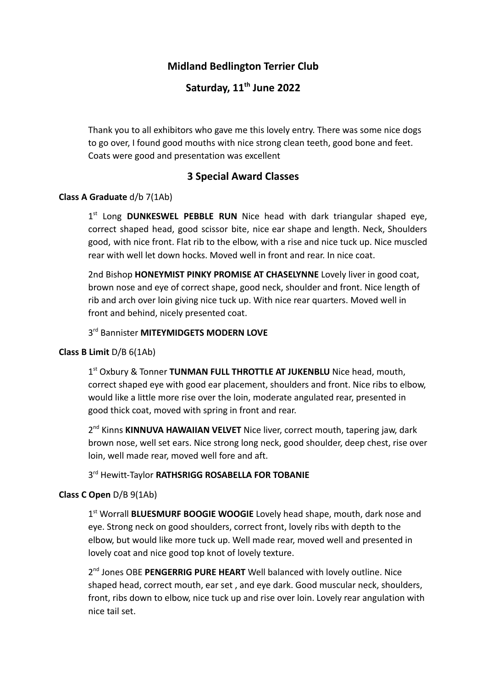## **Midland Bedlington Terrier Club**

# **Saturday, 11 th June 2022**

Thank you to all exhibitors who gave me this lovely entry. There was some nice dogs to go over, I found good mouths with nice strong clean teeth, good bone and feet. Coats were good and presentation was excellent

## **3 Special Award Classes**

#### **Class A Graduate** d/b 7(1Ab)

1 st Long **DUNKESWEL PEBBLE RUN** Nice head with dark triangular shaped eye, correct shaped head, good scissor bite, nice ear shape and length. Neck, Shoulders good, with nice front. Flat rib to the elbow, with a rise and nice tuck up. Nice muscled rear with well let down hocks. Moved well in front and rear. In nice coat.

2nd Bishop **HONEYMIST PINKY PROMISE AT CHASELYNNE** Lovely liver in good coat, brown nose and eye of correct shape, good neck, shoulder and front. Nice length of rib and arch over loin giving nice tuck up. With nice rear quarters. Moved well in front and behind, nicely presented coat.

### 3 rd Bannister **MITEYMIDGETS MODERN LOVE**

#### **Class B Limit** D/B 6(1Ab)

1<sup>st</sup> Oxbury & Tonner **TUNMAN FULL THROTTLE AT JUKENBLU** Nice head, mouth, correct shaped eye with good ear placement, shoulders and front. Nice ribs to elbow, would like a little more rise over the loin, moderate angulated rear, presented in good thick coat, moved with spring in front and rear.

2<sup>nd</sup> Kinns KINNUVA HAWAIIAN VELVET Nice liver, correct mouth, tapering jaw, dark brown nose, well set ears. Nice strong long neck, good shoulder, deep chest, rise over loin, well made rear, moved well fore and aft.

#### 3 rd Hewitt-Taylor **RATHSRIGG ROSABELLA FOR TOBANIE**

#### **Class C Open** D/B 9(1Ab)

1<sup>st</sup> Worrall **BLUESMURF BOOGIE WOOGIE** Lovely head shape, mouth, dark nose and eye. Strong neck on good shoulders, correct front, lovely ribs with depth to the elbow, but would like more tuck up. Well made rear, moved well and presented in lovely coat and nice good top knot of lovely texture.

2<sup>nd</sup> Jones OBE PENGERRIG PURE HEART Well balanced with lovely outline. Nice shaped head, correct mouth, ear set , and eye dark. Good muscular neck, shoulders, front, ribs down to elbow, nice tuck up and rise over loin. Lovely rear angulation with nice tail set.